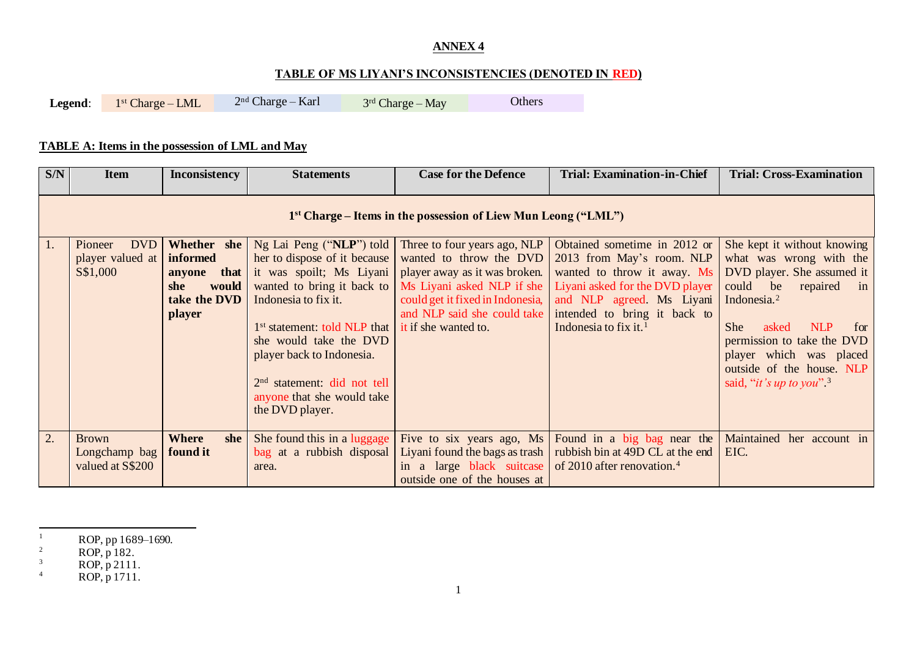## **ANNEX 4**

## **TABLE OF MS LIYANI'S INCONSISTENCIES (DENOTED IN RED)**

Legend:  $1<sup>st</sup> Charge – LML$  $2<sup>nd</sup> Charge - Karl$  $3<sup>rd</sup> Charge – May$  Others

## **TABLE A: Items in the possession of LML and May**

| S/N | <b>Item</b>                                                      | <b>Inconsistency</b>                                                                    | <b>Statements</b>                                                                                                                                                                                                                                                                                            | <b>Case for the Defence</b>                                                                                                                                                                                            | <b>Trial: Examination-in-Chief</b>                                                                                                                                                                                            | <b>Trial: Cross-Examination</b>                                                                                                                                                                                                                                                                                                      |  |  |  |
|-----|------------------------------------------------------------------|-----------------------------------------------------------------------------------------|--------------------------------------------------------------------------------------------------------------------------------------------------------------------------------------------------------------------------------------------------------------------------------------------------------------|------------------------------------------------------------------------------------------------------------------------------------------------------------------------------------------------------------------------|-------------------------------------------------------------------------------------------------------------------------------------------------------------------------------------------------------------------------------|--------------------------------------------------------------------------------------------------------------------------------------------------------------------------------------------------------------------------------------------------------------------------------------------------------------------------------------|--|--|--|
|     | $1st$ Charge – Items in the possession of Liew Mun Leong ("LML") |                                                                                         |                                                                                                                                                                                                                                                                                                              |                                                                                                                                                                                                                        |                                                                                                                                                                                                                               |                                                                                                                                                                                                                                                                                                                                      |  |  |  |
| -1. | <b>DVD</b><br>Pioneer<br>player valued at<br>S\$1,000            | Whether she<br>informed<br>anyone that<br>would<br>she<br>take the DVD<br><i>player</i> | Ng Lai Peng ("NLP") told<br>her to dispose of it because<br>it was spoilt; Ms Liyani<br>Indonesia to fix it.<br>$1st$ statement: told NLP that it if she wanted to.<br>she would take the DVD<br>player back to Indonesia.<br>$2nd$ statement: did not tell<br>anyone that she would take<br>the DVD player. | Three to four years ago, NLP<br>wanted to throw the DVD<br>player away as it was broken.<br>wanted to bring it back to   Ms Liyani asked NLP if she<br>could get it fixed in Indonesia,<br>and NLP said she could take | Obtained sometime in 2012 or<br>2013 from May's room. NLP<br>wanted to throw it away. Ms<br>Liyani asked for the DVD player<br>and NLP agreed. Ms Liyani<br>intended to bring it back to<br>Indonesia to fix it. <sup>1</sup> | She kept it without knowing<br>what was wrong with the<br>DVD player. She assumed it<br>could<br>be<br>repaired<br>$\mathbf{in}$<br>Indonesia. <sup>2</sup><br><b>NLP</b><br><b>She</b><br>asked<br>for<br>permission to take the DVD<br>player which was placed<br>outside of the house. NLP<br>said, " <i>it's up to you</i> " $3$ |  |  |  |
| 2.  | <b>Brown</b><br>Longchamp bag<br>valued at S\$200                | <b>Where</b><br>she<br>found it                                                         | She found this in a luggage<br>$bag$ at a rubbish disposal<br>area.                                                                                                                                                                                                                                          | Liyani found the bags as trash<br>in a large black suitcase<br>outside one of the houses at                                                                                                                            | Five to six years ago, Ms Found in a big bag near the<br>rubbish bin at 49D CL at the end<br>of 2010 after renovation. <sup>4</sup>                                                                                           | Maintained her account in<br>EIC.                                                                                                                                                                                                                                                                                                    |  |  |  |

 $\frac{1}{2}$  ROP, pp 1689–1690.

 $ROP, p 182.$ 

 $3 \text{ROP}, p \, 2111.$ 

 $^{4}$  ROP, p 1711.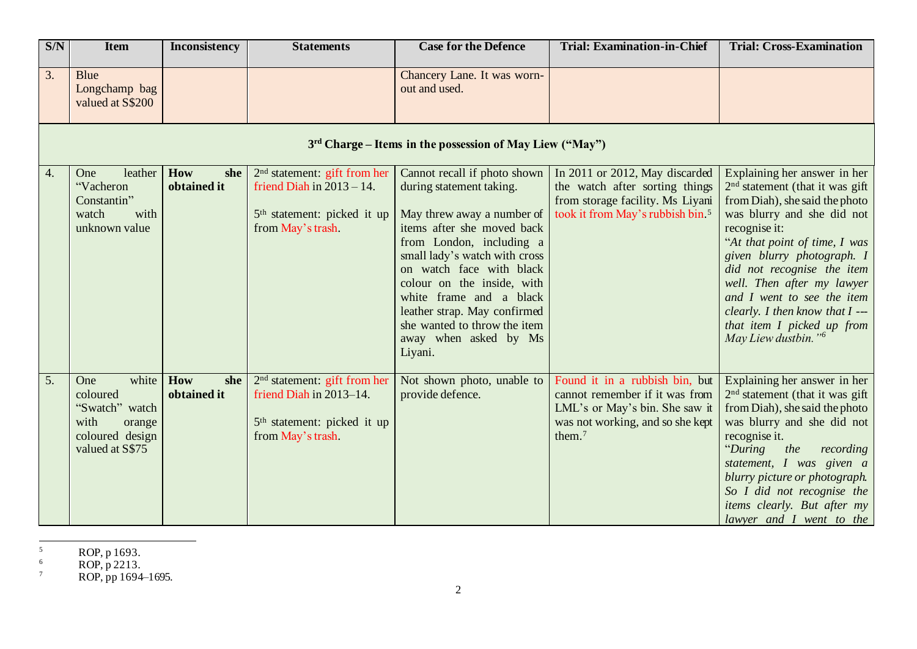| S/N              | <b>Item</b>                                                                                        | <b>Inconsistency</b>      | <b>Statements</b>                                                                                                              | <b>Case for the Defence</b>                                                                                                                                                                                                                                                                                                                                                | <b>Trial: Examination-in-Chief</b>                                                                                                                   | <b>Trial: Cross-Examination</b>                                                                                                                                                                                                                                                                                                                                                                                   |  |  |  |
|------------------|----------------------------------------------------------------------------------------------------|---------------------------|--------------------------------------------------------------------------------------------------------------------------------|----------------------------------------------------------------------------------------------------------------------------------------------------------------------------------------------------------------------------------------------------------------------------------------------------------------------------------------------------------------------------|------------------------------------------------------------------------------------------------------------------------------------------------------|-------------------------------------------------------------------------------------------------------------------------------------------------------------------------------------------------------------------------------------------------------------------------------------------------------------------------------------------------------------------------------------------------------------------|--|--|--|
| 3.               | Blue<br>Longchamp bag<br>valued at S\$200                                                          |                           |                                                                                                                                | Chancery Lane. It was worn-<br>out and used.                                                                                                                                                                                                                                                                                                                               |                                                                                                                                                      |                                                                                                                                                                                                                                                                                                                                                                                                                   |  |  |  |
|                  | 3 <sup>rd</sup> Charge – Items in the possession of May Liew ("May")                               |                           |                                                                                                                                |                                                                                                                                                                                                                                                                                                                                                                            |                                                                                                                                                      |                                                                                                                                                                                                                                                                                                                                                                                                                   |  |  |  |
| $\overline{4}$ . | leather<br>One<br>"Vacheron<br>Constantin"<br>watch<br>with<br>unknown value                       | How<br>she<br>obtained it | $2nd$ statement: gift from her<br>friend Diah in $2013 - 14$ .<br>5 <sup>th</sup> statement: picked it up<br>from May's trash. | Cannot recall if photo shown<br>during statement taking.<br>May threw away a number of<br>items after she moved back<br>from London, including a<br>small lady's watch with cross<br>on watch face with black<br>colour on the inside, with<br>white frame and a black<br>leather strap. May confirmed<br>she wanted to throw the item<br>away when asked by Ms<br>Liyani. | In 2011 or 2012, May discarded<br>the watch after sorting things<br>from storage facility. Ms Liyani<br>took it from May's rubbish bin. <sup>5</sup> | Explaining her answer in her<br>$2nd$ statement (that it was gift<br>from Diah), she said the photo<br>was blurry and she did not<br>recognise it:<br>"At that point of time, I was<br>given blurry photograph. I<br>did not recognise the item<br>well. Then after my lawyer<br>and I went to see the item<br>clearly. I then know that $I$ ---<br>that item I picked up from<br>May Liew dustbin." <sup>6</sup> |  |  |  |
| $\overline{5}$ . | white<br>One<br>coloured<br>"Swatch" watch<br>with<br>orange<br>coloured design<br>valued at S\$75 | How<br>she<br>obtained it | $2nd$ statement: gift from her<br>friend Diah in 2013-14.<br>5 <sup>th</sup> statement: picked it up<br>from May's trash.      | Not shown photo, unable to<br>provide defence.                                                                                                                                                                                                                                                                                                                             | Found it in a rubbish bin, but<br>cannot remember if it was from<br>LML's or May's bin. She saw it<br>was not working, and so she kept<br>them. $7$  | Explaining her answer in her<br>$2nd$ statement (that it was gift<br>from Diah), she said the photo<br>was blurry and she did not<br>recognise it.<br>"During"<br>the<br>recording<br>statement, I was given a<br>blurry picture or photograph.<br>So I did not recognise the<br>items clearly. But after my<br>lawyer and I went to the                                                                          |  |  |  |

 $5$  ROP, p 1693.

 $6 \text{ROP}, p \, 2213.$ 

 $7 \text{ ROP}, \text{pp } 1694-1695.$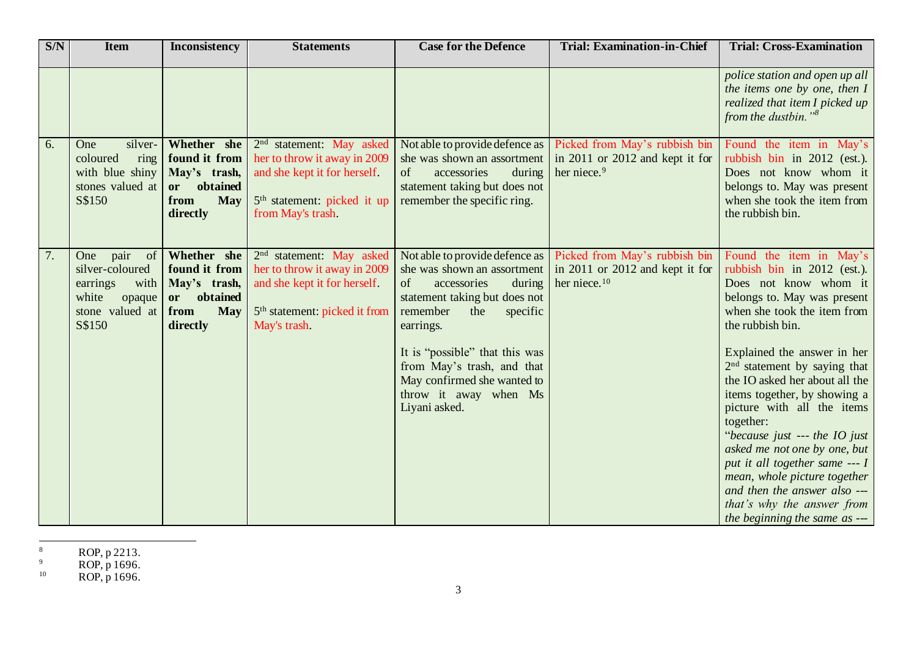| S/N | <b>Item</b>                                                                                                      | <b>Inconsistency</b>                                                                             | <b>Statements</b>                                                                                                                                                    | <b>Case for the Defence</b>                                                                                                                                                                                                                                                      | <b>Trial: Examination-in-Chief</b>                                                                                            | <b>Trial: Cross-Examination</b>                                                                                                                                                                                                                                                                                                                                                                                                                                                                                                                                                   |
|-----|------------------------------------------------------------------------------------------------------------------|--------------------------------------------------------------------------------------------------|----------------------------------------------------------------------------------------------------------------------------------------------------------------------|----------------------------------------------------------------------------------------------------------------------------------------------------------------------------------------------------------------------------------------------------------------------------------|-------------------------------------------------------------------------------------------------------------------------------|-----------------------------------------------------------------------------------------------------------------------------------------------------------------------------------------------------------------------------------------------------------------------------------------------------------------------------------------------------------------------------------------------------------------------------------------------------------------------------------------------------------------------------------------------------------------------------------|
|     |                                                                                                                  |                                                                                                  |                                                                                                                                                                      |                                                                                                                                                                                                                                                                                  |                                                                                                                               | police station and open up all<br>the items one by one, then I<br>realized that item I picked up<br>from the dustbin." $8$                                                                                                                                                                                                                                                                                                                                                                                                                                                        |
| 6.  | One<br>silver-<br>ring<br>coloured<br>with blue shiny<br>stones valued at<br>S\$150                              | Whether she<br>found it from<br>May's trash,<br>obtained<br>or<br><b>May</b><br>from<br>directly | 2 <sup>nd</sup> statement: May asked<br>her to throw it away in 2009<br>and she kept it for herself.<br>5 <sup>th</sup> statement: picked it up<br>from May's trash. | Not able to provide defence as<br>she was shown an assortment<br>of<br>accessories<br>during<br>statement taking but does not<br>remember the specific ring.                                                                                                                     | Picked from May's rubbish bin<br>in 2011 or 2012 and kept it for<br>her niece. <sup>9</sup>                                   | Found the item in May's<br>rubbish bin in 2012 (est.).<br>Does not know whom it<br>belongs to. May was present<br>when she took the item from<br>the rubbish bin.                                                                                                                                                                                                                                                                                                                                                                                                                 |
| 7.  | pair<br>$\circ$ of<br>One<br>silver-coloured<br>with<br>earrings<br>white<br>opaque<br>stone valued at<br>S\$150 | Whether she<br>found it from<br>May's trash,<br>obtained<br>or<br><b>May</b><br>from<br>directly | 2 <sup>nd</sup> statement: May asked<br>her to throw it away in 2009<br>and she kept it for herself.<br>5 <sup>th</sup> statement: picked it from<br>May's trash.    | she was shown an assortment<br>accessories<br>of<br>during<br>statement taking but does not<br>remember<br>the<br>specific<br>earrings.<br>It is "possible" that this was<br>from May's trash, and that<br>May confirmed she wanted to<br>throw it away when Ms<br>Liyani asked. | Not able to provide defence as   Picked from May's rubbish bin<br>in 2011 or 2012 and kept it for<br>her niece. <sup>10</sup> | Found the item in May's<br>rubbish bin in 2012 (est.).<br>Does not know whom it<br>belongs to. May was present<br>when she took the item from<br>the rubbish bin.<br>Explained the answer in her<br>$2nd$ statement by saying that<br>the IO asked her about all the<br>items together, by showing a<br>picture with all the items<br>together:<br>"because just --- the IO just<br>asked me not one by one, but<br>put it all together same --- I<br>mean, whole picture together<br>and then the answer also ---<br>that's why the answer from<br>the beginning the same as --- |

<sup>8</sup> ROP,  $p$  2213.

 $P^9$  ROP, p 1696.

 $10$  ROP, p 1696.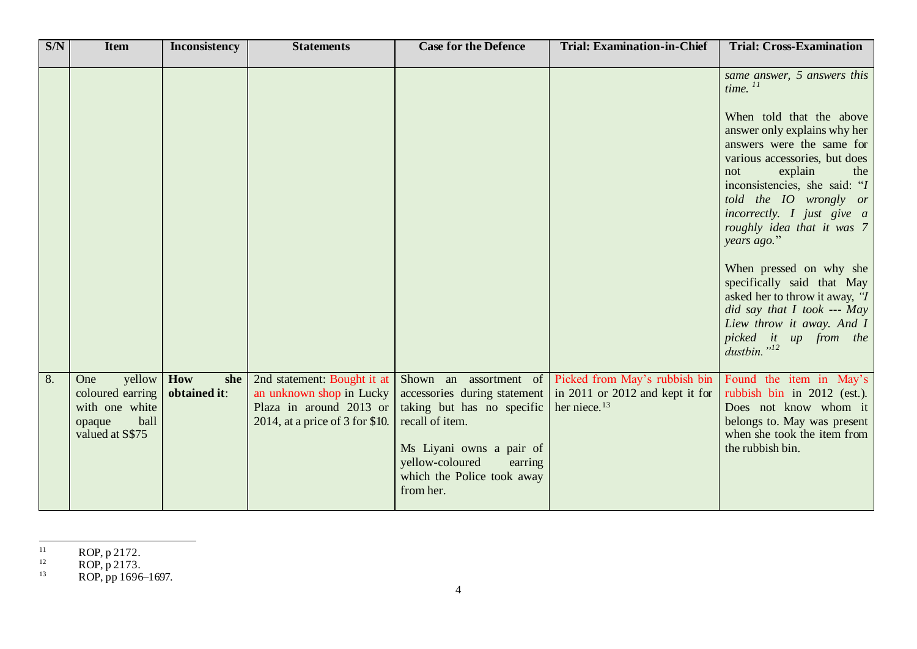| SNN | <b>Item</b>                                                                              | <b>Inconsistency</b>       | <b>Statements</b>                                                                                                       | <b>Case for the Defence</b>                                                                                                                                                        | <b>Trial: Examination-in-Chief</b>                                                                                     | <b>Trial: Cross-Examination</b>                                                                                                                                                                                                                                                                                                                                                                                                                                                                                                                      |
|-----|------------------------------------------------------------------------------------------|----------------------------|-------------------------------------------------------------------------------------------------------------------------|------------------------------------------------------------------------------------------------------------------------------------------------------------------------------------|------------------------------------------------------------------------------------------------------------------------|------------------------------------------------------------------------------------------------------------------------------------------------------------------------------------------------------------------------------------------------------------------------------------------------------------------------------------------------------------------------------------------------------------------------------------------------------------------------------------------------------------------------------------------------------|
|     |                                                                                          |                            |                                                                                                                         |                                                                                                                                                                                    |                                                                                                                        | same answer, 5 answers this<br>time. $^{11}$<br>When told that the above<br>answer only explains why her<br>answers were the same for<br>various accessories, but does<br>explain<br>the<br>not<br>inconsistencies, she said: "I<br>told the IO wrongly or<br>incorrectly. I just give a<br>roughly idea that it was 7<br>years ago."<br>When pressed on why she<br>specifically said that May<br>asked her to throw it away, "I<br>did say that $I$ took --- May<br>Liew throw it away. And $I$<br>picked it up from the<br>dustbin." <sup>12</sup> |
| 8.  | yellow<br>One<br>coloured earring<br>with one white<br>ball<br>opaque<br>valued at S\$75 | How<br>she<br>obtained it: | 2nd statement: Bought it at<br>an unknown shop in Lucky<br>Plaza in around 2013 or<br>2014, at a price of $3$ for \$10. | accessories during statement<br>taking but has no specific<br>recall of item.<br>Ms Liyani owns a pair of<br>yellow-coloured<br>earring<br>which the Police took away<br>from her. | Shown an assortment of Picked from May's rubbish bin<br>$\ln 2011$ or 2012 and kept it for<br>her niece. <sup>13</sup> | Found the item in May's<br>rubbish bin in 2012 (est.).<br>Does not know whom it<br>belongs to. May was present<br>when she took the item from<br>the rubbish bin.                                                                                                                                                                                                                                                                                                                                                                                    |

 $11$  ROP, p 2172.

 $P^{12}$  ROP, p 2173.

 $13$  ROP, pp 1696–1697.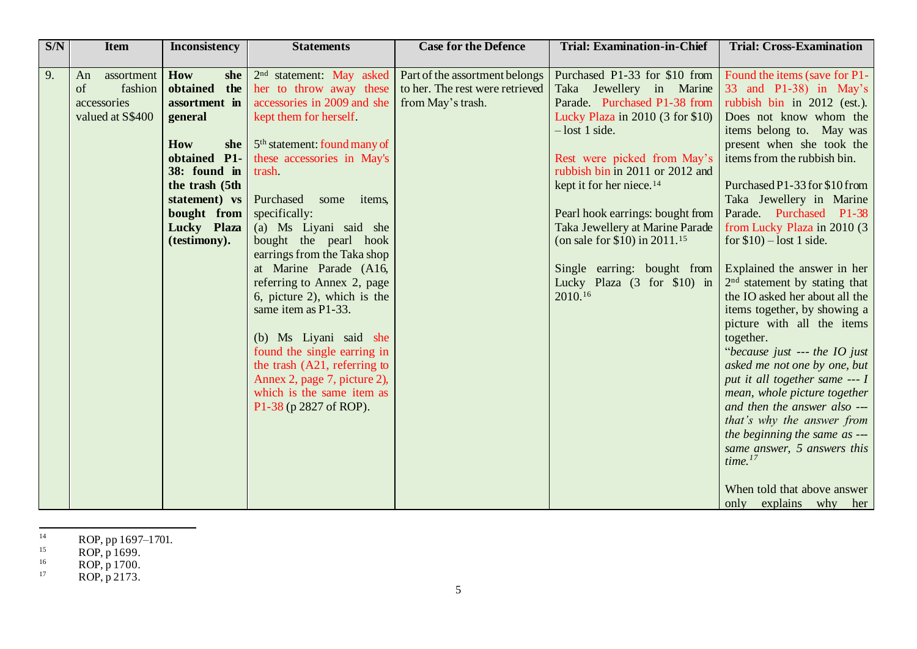| S/N | <b>Item</b>      | <b>Inconsistency</b>   | <b>Statements</b>                        | <b>Case for the Defence</b>     | <b>Trial: Examination-in-Chief</b>   | <b>Trial: Cross-Examination</b> |
|-----|------------------|------------------------|------------------------------------------|---------------------------------|--------------------------------------|---------------------------------|
|     |                  |                        |                                          |                                 |                                      |                                 |
| 9.  | assortment<br>An | How<br>she             | 2 <sup>nd</sup> statement: May asked     | Part of the assortment belongs  | Purchased P1-33 for \$10 from        | Found the items (save for P1-   |
|     | fashion<br>of    | obtained<br>the        | her to throw away these                  | to her. The rest were retrieved | Taka Jewellery in Marine             | 33 and $P1-38$ ) in May's       |
|     | accessories      | assortment in          | accessories in 2009 and she              | from May's trash.               | Parade. Purchased P1-38 from         | rubbish bin in 2012 (est.).     |
|     | valued at S\$400 | general                | kept them for herself.                   |                                 | Lucky Plaza in 2010 (3 for \$10)     | Does not know whom the          |
|     |                  |                        |                                          |                                 | $-$ lost 1 side.                     | items belong to. May was        |
|     |                  | How<br>she             | 5 <sup>th</sup> statement: found many of |                                 |                                      | present when she took the       |
|     |                  | <b>P1-</b><br>obtained | these accessories in May's               |                                 | Rest were picked from May's          | items from the rubbish bin.     |
|     |                  | 38: found in           | trash                                    |                                 | rubbish bin in 2011 or 2012 and      |                                 |
|     |                  | the trash (5th         |                                          |                                 | kept it for her niece. <sup>14</sup> | Purchased P1-33 for \$10 from   |
|     |                  | statement) vs          | Purchased<br>some<br>items,              |                                 |                                      | Taka Jewellery in Marine        |
|     |                  | bought from            | specifically:                            |                                 | Pearl hook earrings: bought from     | Parade. Purchased P1-38         |
|     |                  | Lucky Plaza            | (a) Ms Liyani said she                   |                                 | Taka Jewellery at Marine Parade      | from Lucky Plaza in 2010 (3)    |
|     |                  | (testimony).           | bought the pearl hook                    |                                 | (on sale for \$10) in $2011.^{15}$   | for $$10$ ) – lost 1 side.      |
|     |                  |                        | earrings from the Taka shop              |                                 |                                      |                                 |
|     |                  |                        | at Marine Parade (A16,                   |                                 | Single earring: bought from          | Explained the answer in her     |
|     |                  |                        | referring to Annex 2, page               |                                 | Lucky Plaza (3 for \$10) in          | $2nd$ statement by stating that |
|     |                  |                        | 6, picture 2), which is the              |                                 | 2010.16                              | the IO asked her about all the  |
|     |                  |                        | same item as P1-33.                      |                                 |                                      | items together, by showing a    |
|     |                  |                        |                                          |                                 |                                      | picture with all the items      |
|     |                  |                        | (b) Ms Liyani said she                   |                                 |                                      | together.                       |
|     |                  |                        | found the single earring in              |                                 |                                      | "because just --- the IO just   |
|     |                  |                        | the trash (A21, referring to             |                                 |                                      | asked me not one by one, but    |
|     |                  |                        | Annex 2, page 7, picture 2),             |                                 |                                      | put it all together same --- I  |
|     |                  |                        | which is the same item as                |                                 |                                      | mean, whole picture together    |
|     |                  |                        | P1-38 (p 2827 of ROP).                   |                                 |                                      | and then the answer also ---    |
|     |                  |                        |                                          |                                 |                                      | that's why the answer from      |
|     |                  |                        |                                          |                                 |                                      | the beginning the same as ---   |
|     |                  |                        |                                          |                                 |                                      | same answer, 5 answers this     |
|     |                  |                        |                                          |                                 |                                      | time. <sup>17</sup>             |
|     |                  |                        |                                          |                                 |                                      | When told that above answer     |
|     |                  |                        |                                          |                                 |                                      | only explains why her           |

 $^{14}$  ROP, pp 1697–1701.

- $^{16}$  ROP, p 1700.
- $17 \text{ ROP}, p \, 2173.$

 $^{15}$  ROP, p 1699.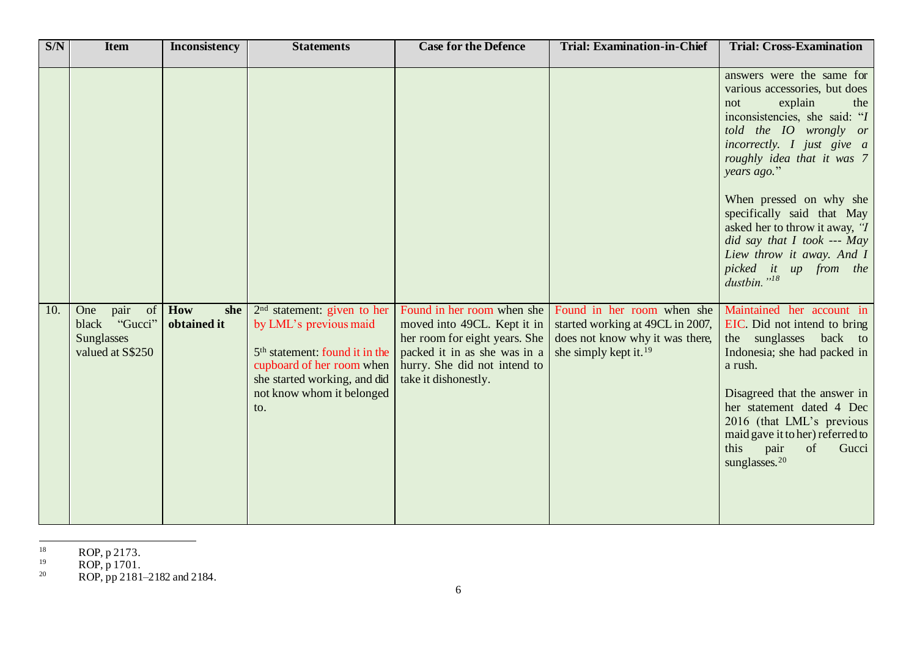| S/N | <b>Item</b>                                                                    | <b>Inconsistency</b>      | <b>Statements</b>                                                                                                                                                                                      | <b>Case for the Defence</b>                                                                                                                                                        | <b>Trial: Examination-in-Chief</b>                                                                                                     | <b>Trial: Cross-Examination</b>                                                                                                                                                                                                                                                                                                                                                                           |
|-----|--------------------------------------------------------------------------------|---------------------------|--------------------------------------------------------------------------------------------------------------------------------------------------------------------------------------------------------|------------------------------------------------------------------------------------------------------------------------------------------------------------------------------------|----------------------------------------------------------------------------------------------------------------------------------------|-----------------------------------------------------------------------------------------------------------------------------------------------------------------------------------------------------------------------------------------------------------------------------------------------------------------------------------------------------------------------------------------------------------|
|     |                                                                                |                           |                                                                                                                                                                                                        |                                                                                                                                                                                    |                                                                                                                                        | answers were the same for<br>various accessories, but does<br>explain<br>the<br>not<br>inconsistencies, she said: "I<br>told the IO wrongly or<br>incorrectly. I just give a<br>roughly idea that it was 7<br>years ago."<br>When pressed on why she<br>specifically said that May<br>asked her to throw it away, "I<br>did say that I took --- May<br>Liew throw it away. And I<br>picked it up from the |
| 10. | pair<br>of<br>One<br>"Gucci"<br>black<br><b>Sunglasses</b><br>valued at S\$250 | How<br>she<br>obtained it | $2nd$ statement: given to her<br>by LML's previous maid<br>5 <sup>th</sup> statement: found it in the<br>cupboard of her room when<br>she started working, and did<br>not know whom it belonged<br>to. | Found in her room when she<br>moved into 49CL. Kept it in<br>her room for eight years. She<br>packed it in as she was in a<br>hurry. She did not intend to<br>take it dishonestly. | Found in her room when she<br>started working at 49CL in 2007,<br>does not know why it was there,<br>she simply kept it. <sup>19</sup> | dustbin." <sup>18</sup><br>Maintained her account in<br>EIC. Did not intend to bring<br>the sunglasses<br>back to<br>Indonesia; she had packed in<br>a rush.<br>Disagreed that the answer in<br>her statement dated 4 Dec<br>2016 (that LML's previous<br>maid gave it to her) referred to<br>this<br>pair<br>of<br>Gucci<br>sunglasses. <sup>20</sup>                                                    |

 $18$  ROP, p 2173.

 $19$  ROP, p 1701.

 $20$  ROP, pp 2181–2182 and 2184.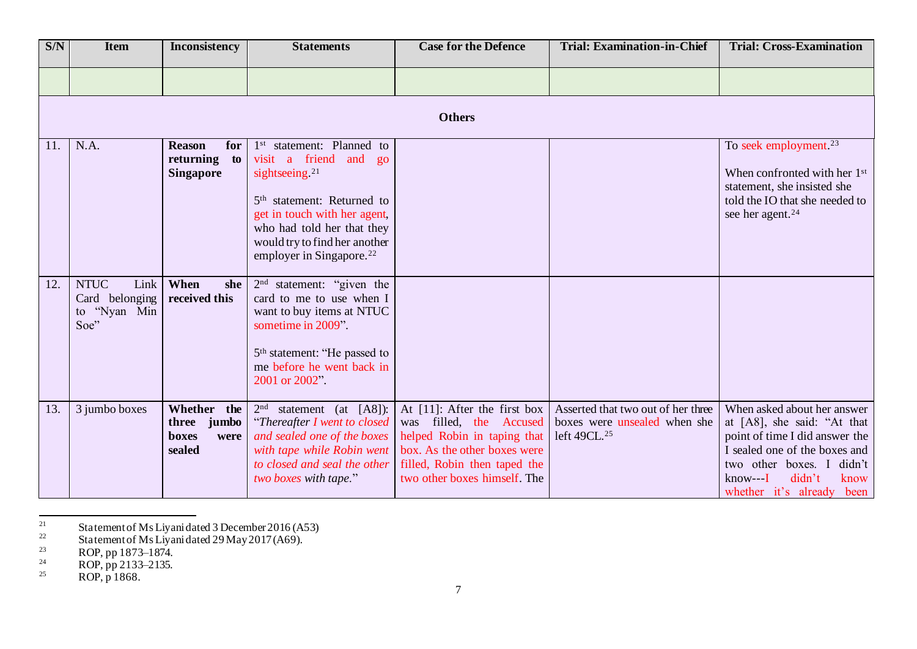| S/N | <b>Item</b>                                                   | Inconsistency                                               | <b>Statements</b>                                                                                                                                                                                                                                                                            | <b>Case for the Defence</b>                                                                                                                                                               | <b>Trial: Examination-in-Chief</b>                                                             | <b>Trial: Cross-Examination</b>                                                                                                                                                                                           |
|-----|---------------------------------------------------------------|-------------------------------------------------------------|----------------------------------------------------------------------------------------------------------------------------------------------------------------------------------------------------------------------------------------------------------------------------------------------|-------------------------------------------------------------------------------------------------------------------------------------------------------------------------------------------|------------------------------------------------------------------------------------------------|---------------------------------------------------------------------------------------------------------------------------------------------------------------------------------------------------------------------------|
|     |                                                               |                                                             |                                                                                                                                                                                                                                                                                              |                                                                                                                                                                                           |                                                                                                |                                                                                                                                                                                                                           |
|     |                                                               |                                                             |                                                                                                                                                                                                                                                                                              | <b>Others</b>                                                                                                                                                                             |                                                                                                |                                                                                                                                                                                                                           |
| 11. | N.A.                                                          | <b>Reason</b><br>for<br>returning<br>to<br><b>Singapore</b> | 1 <sup>st</sup> statement: Planned to<br>visit a friend and<br>g <sub>0</sub><br>sightseeing. <sup>21</sup><br>5 <sup>th</sup> statement: Returned to<br>get in touch with her agent,<br>who had told her that they<br>would try to find her another<br>employer in Singapore. <sup>22</sup> |                                                                                                                                                                                           |                                                                                                | To seek employment. <sup>23</sup><br>When confronted with her 1 <sup>st</sup><br>statement, she insisted she<br>told the IO that she needed to<br>see her agent. <sup>24</sup>                                            |
| 12. | <b>NTUC</b><br>Link<br>Card belonging<br>to "Nyan Min<br>Soe" | When<br>she<br>received this                                | $2nd$ statement: "given the<br>card to me to use when I<br>want to buy items at NTUC<br>sometime in 2009".<br>5 <sup>th</sup> statement: "He passed to<br>me before he went back in<br>2001 or 2002".                                                                                        |                                                                                                                                                                                           |                                                                                                |                                                                                                                                                                                                                           |
| 13. | 3 jumbo boxes                                                 | Whether the<br>three jumbo<br>boxes<br>were<br>sealed       | $2nd$ statement (at [A8]):<br>"Thereafter I went to closed<br>and sealed one of the boxes<br>with tape while Robin went<br>to closed and seal the other<br>two boxes with tape."                                                                                                             | At $[11]$ : After the first box<br>was filled, the Accused<br>helped Robin in taping that<br>box. As the other boxes were<br>filled, Robin then taped the<br>two other boxes himself. The | Asserted that two out of her three<br>boxes were unsealed when she<br>left 49CL. <sup>25</sup> | When asked about her answer<br>at [A8], she said: "At that<br>point of time I did answer the<br>I sealed one of the boxes and<br>two other boxes. I<br>didn't<br>didn't<br>$know--I$<br>know<br>whether it's already been |

 $21$  Statement of Ms Liyani dated 3 December 2016 (A53)

 $^{22}$  Statement of Ms Liyani dated 29 May 2017 (A69).

 $^{23}$  ROP, pp 1873–1874.

 $^{24}$  ROP, pp 2133–2135.

 $^{25}$  ROP, p 1868.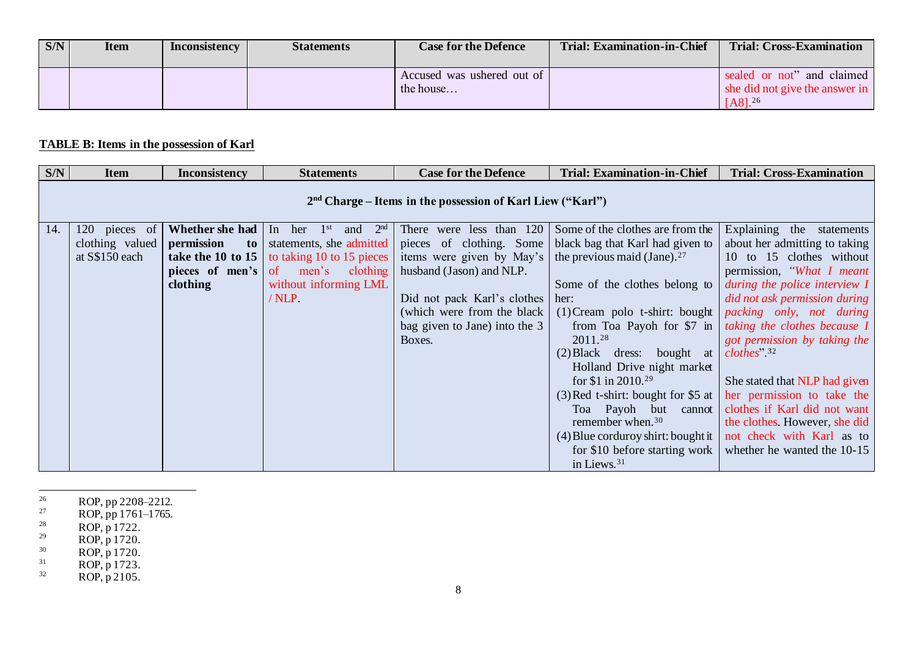| S/N | <b>Item</b> | <b>Inconsistency</b> | <b>Statements</b> | <b>Case for the Defence</b>             | <b>Trial: Examination-in-Chief</b> | <b>Trial: Cross-Examination</b>                                             |
|-----|-------------|----------------------|-------------------|-----------------------------------------|------------------------------------|-----------------------------------------------------------------------------|
|     |             |                      |                   | Accused was ushered out of<br>the house |                                    | sealed or not" and claimed<br>she did not give the answer in<br>$[AA]^{26}$ |

## **TABLE B: Items in the possession of Karl**

| S/N | <b>Item</b>                                                  | <b>Inconsistency</b>          | <b>Statements</b>                                  | <b>Case for the Defence</b>                                               | <b>Trial: Examination-in-Chief</b>                          | <b>Trial: Cross-Examination</b> |  |  |  |  |
|-----|--------------------------------------------------------------|-------------------------------|----------------------------------------------------|---------------------------------------------------------------------------|-------------------------------------------------------------|---------------------------------|--|--|--|--|
|     | $2nd$ Charge – Items in the possession of Karl Liew ("Karl") |                               |                                                    |                                                                           |                                                             |                                 |  |  |  |  |
| 14. | <sup>120</sup><br>pieces of                                  | <b>Whether she had</b> In her | 2 <sup>nd</sup><br>1 <sup>st</sup><br>and          | There were less than 120                                                  | Some of the clothes are from the                            | Explaining the<br>statements    |  |  |  |  |
|     | clothing valued                                              | permission<br>$\mathbf{to}$   | statements, she admitted                           |                                                                           | pieces of clothing. Some   black bag that Karl had given to | about her admitting to taking   |  |  |  |  |
|     | at S\$150 each                                               |                               | <b>take the 10 to 15</b> to taking 10 to 15 pieces | items were given by May's $\vert$ the previous maid (Jane). <sup>27</sup> |                                                             | 10 to 15 clothes without        |  |  |  |  |
|     |                                                              | pieces of men's of            | clothing<br>men's                                  | husband (Jason) and NLP.                                                  |                                                             | permission, "What I meant       |  |  |  |  |
|     |                                                              | clothing                      | without informing LML                              |                                                                           | Some of the clothes belong to                               | during the police interview I   |  |  |  |  |
|     |                                                              |                               | $/ NLP$ .                                          | Did not pack Karl's clothes                                               | her:                                                        | did not ask permission during   |  |  |  |  |
|     |                                                              |                               |                                                    | (which were from the black)                                               | $(1)$ Cream polo t-shirt: bought                            | packing only, not during        |  |  |  |  |
|     |                                                              |                               |                                                    | bag given to Jane) into the $3$                                           | from Toa Payoh for $$7 \text{ in}$                          | taking the clothes because I    |  |  |  |  |
|     |                                                              |                               |                                                    | Boxes.                                                                    | 2011.28                                                     | got permission by taking the    |  |  |  |  |
|     |                                                              |                               |                                                    |                                                                           | $(2) Black$ dress: bought at                                | $clothes$ <sup>32</sup>         |  |  |  |  |
|     |                                                              |                               |                                                    |                                                                           | Holland Drive night market                                  |                                 |  |  |  |  |
|     |                                                              |                               |                                                    |                                                                           | for \$1 in 2010. <sup>29</sup>                              | She stated that NLP had given   |  |  |  |  |
|     |                                                              |                               |                                                    |                                                                           | $(3)$ Red t-shirt: bought for \$5 at                        | her permission to take the      |  |  |  |  |
|     |                                                              |                               |                                                    |                                                                           | Toa Payoh but cannot                                        | clothes if Karl did not want    |  |  |  |  |
|     |                                                              |                               |                                                    |                                                                           | remember when. <sup>30</sup>                                | the clothes. However, she did   |  |  |  |  |
|     |                                                              |                               |                                                    |                                                                           | $(4)$ Blue corduroy shirt: bought it                        | not check with Karl as to       |  |  |  |  |
|     |                                                              |                               |                                                    |                                                                           | for \$10 before starting work                               | whether he wanted the 10-15     |  |  |  |  |
|     |                                                              |                               |                                                    |                                                                           | in Liews. <sup>31</sup>                                     |                                 |  |  |  |  |

- $^{26}$  ROP, pp 2208–2212.
- $^{27}$  ROP, pp 1761–1765.
- $^{28}$  ROP, p 1722.
- $29$  ROP, p 1720.
- $30$  ROP, p 1720.
- $B^{31}$  ROP, p 1723.
- $ROP, p 2105.$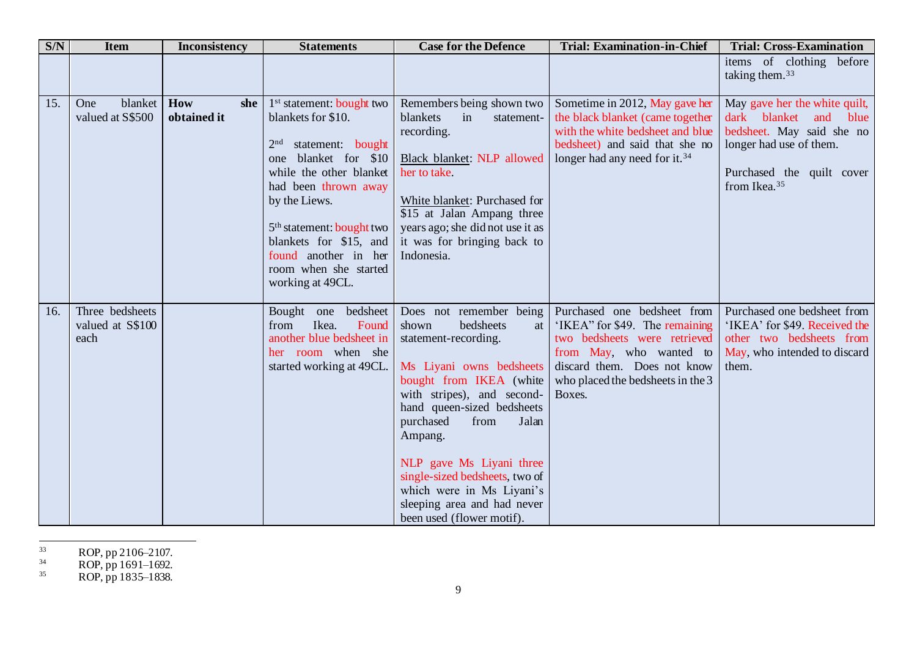| S/N | <b>Item</b>                                 | <b>Inconsistency</b>      | <b>Statements</b>                                                                                                                                                                                                                                                                                                                          | <b>Case for the Defence</b>                                                                                                                                                                                                                                                                                                                                                                    | <b>Trial: Examination-in-Chief</b>                                                                                                                                                                     | <b>Trial: Cross-Examination</b>                                                                                                                                               |
|-----|---------------------------------------------|---------------------------|--------------------------------------------------------------------------------------------------------------------------------------------------------------------------------------------------------------------------------------------------------------------------------------------------------------------------------------------|------------------------------------------------------------------------------------------------------------------------------------------------------------------------------------------------------------------------------------------------------------------------------------------------------------------------------------------------------------------------------------------------|--------------------------------------------------------------------------------------------------------------------------------------------------------------------------------------------------------|-------------------------------------------------------------------------------------------------------------------------------------------------------------------------------|
|     |                                             |                           |                                                                                                                                                                                                                                                                                                                                            |                                                                                                                                                                                                                                                                                                                                                                                                |                                                                                                                                                                                                        | items of clothing before<br>taking them. <sup>33</sup>                                                                                                                        |
| 15. | blanket<br>One<br>valued at S\$500          | How<br>she<br>obtained it | 1 <sup>st</sup> statement: bought two<br>blankets for \$10.<br>statement: bought<br>2 <sup>nd</sup><br>blanket for \$10<br>one<br>while the other blanket<br>had been thrown away<br>by the Liews.<br>5 <sup>th</sup> statement: bought two<br>blankets for \$15, and<br>found another in her<br>room when she started<br>working at 49CL. | Remembers being shown two<br>blankets<br>in<br>statement-<br>recording.<br>Black blanket: NLP allowed<br>her to take.<br>White blanket: Purchased for<br>\$15 at Jalan Ampang three<br>years ago; she did not use it as<br>it was for bringing back to<br>Indonesia.                                                                                                                           | Sometime in 2012, May gave her<br>the black blanket (came together<br>with the white bedsheet and blue<br>bedsheet) and said that she no<br>longer had any need for it. <sup>34</sup>                  | May gave her the white quilt,<br>dark blanket<br>and<br>blue<br>bedsheet. May said she no<br>longer had use of them.<br>Purchased the quilt cover<br>from Ikea. <sup>35</sup> |
| 16. | Three bedsheets<br>valued at S\$100<br>each |                           | Bought<br>one bedsheet<br>Ikea.<br>Found<br>from<br>another blue bedsheet in<br>her room when she<br>started working at 49CL.                                                                                                                                                                                                              | Does not remember being<br>bedsheets<br>shown<br>at<br>statement-recording.<br>Ms Liyani owns bedsheets<br>bought from IKEA (white<br>with stripes), and second-<br>hand queen-sized bedsheets<br>purchased<br>from<br>Jalan<br>Ampang.<br>NLP gave Ms Liyani three<br>single-sized bedsheets, two of<br>which were in Ms Liyani's<br>sleeping area and had never<br>been used (flower motif). | Purchased one bedsheet from<br>'IKEA" for \$49. The remaining<br>two bedsheets were retrieved<br>from May, who wanted to<br>discard them. Does not know<br>who placed the bedsheets in the 3<br>Boxes. | Purchased one bedsheet from<br>'IKEA' for \$49. Received the<br>other two bedsheets from<br>May, who intended to discard<br>them.                                             |

<sup>33</sup> ROP, pp 2106–2107.

 $^{34}$  ROP, pp 1691–1692.

 $^{35}$  ROP, pp 1835–1838.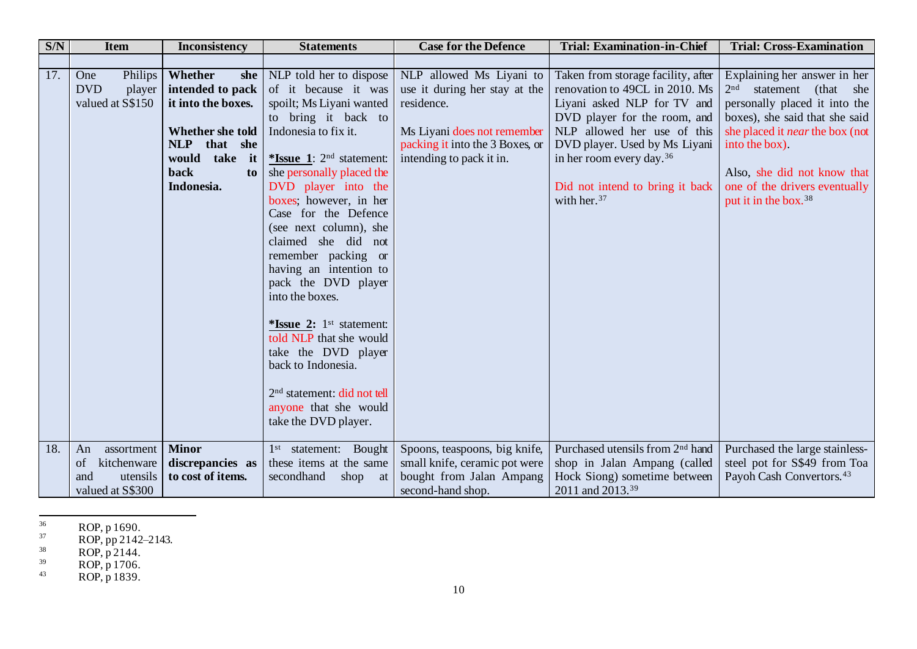| SNN | <b>Item</b>                                                | <b>Inconsistency</b>                                                                                                                                | <b>Statements</b>                                                                                                                                                                                                                                                                                                                                                                                                                                                                                                                                                                                            | <b>Case for the Defence</b>                                                                                                                                           | <b>Trial: Examination-in-Chief</b>                                                                                                                                                                                                                                                                        | <b>Trial: Cross-Examination</b>                                                                                                                                                                                                                                                                                  |
|-----|------------------------------------------------------------|-----------------------------------------------------------------------------------------------------------------------------------------------------|--------------------------------------------------------------------------------------------------------------------------------------------------------------------------------------------------------------------------------------------------------------------------------------------------------------------------------------------------------------------------------------------------------------------------------------------------------------------------------------------------------------------------------------------------------------------------------------------------------------|-----------------------------------------------------------------------------------------------------------------------------------------------------------------------|-----------------------------------------------------------------------------------------------------------------------------------------------------------------------------------------------------------------------------------------------------------------------------------------------------------|------------------------------------------------------------------------------------------------------------------------------------------------------------------------------------------------------------------------------------------------------------------------------------------------------------------|
|     |                                                            |                                                                                                                                                     |                                                                                                                                                                                                                                                                                                                                                                                                                                                                                                                                                                                                              |                                                                                                                                                                       |                                                                                                                                                                                                                                                                                                           |                                                                                                                                                                                                                                                                                                                  |
| 17. | Philips<br>One<br><b>DVD</b><br>player<br>valued at S\$150 | Whether<br>she<br>intended to pack<br>it into the boxes.<br>Whether she told<br><b>NLP</b><br>that she<br>would take it<br>back<br>to<br>Indonesia. | NLP told her to dispose<br>of it because it was<br>spoilt; Ms Liyani wanted<br>to bring it back to<br>Indonesia to fix it.<br>*Issue $1: 2nd$ statement:<br>she personally placed the<br>DVD player into the<br>boxes; however, in her<br>Case for the Defence<br>(see next column), she<br>claimed she did not<br>remember packing or<br>having an intention to<br>pack the DVD player<br>into the boxes.<br>*Issue $2: 1st$ statement:<br>told NLP that she would<br>take the DVD player<br>back to Indonesia.<br>2 <sup>nd</sup> statement: did not tell<br>anyone that she would<br>take the DVD player. | NLP allowed Ms Liyani to<br>use it during her stay at the<br>residence.<br>Ms Liyani does not remember<br>packing it into the 3 Boxes, or<br>intending to pack it in. | Taken from storage facility, after<br>renovation to 49CL in 2010. Ms<br>Liyani asked NLP for TV and<br>DVD player for the room, and<br>NLP allowed her use of this<br>DVD player. Used by Ms Liyani<br>in her room every day. <sup>36</sup><br>Did not intend to bring it back<br>with her. <sup>37</sup> | Explaining her answer in her<br>2 <sub>nd</sub><br>statement<br>(that)<br>she<br>personally placed it into the<br>boxes), she said that she said<br>she placed it <i>near</i> the box (not<br>into the box).<br>Also, she did not know that<br>one of the drivers eventually<br>put it in the box. <sup>38</sup> |
| 18. | assortment<br>An<br>kitchenware<br>οf                      | <b>Minor</b><br>discrepancies as                                                                                                                    | 1 <sup>st</sup> statement: Bought<br>these items at the same                                                                                                                                                                                                                                                                                                                                                                                                                                                                                                                                                 | Spoons, teaspoons, big knife,<br>small knife, ceramic pot were                                                                                                        | Purchased utensils from 2 <sup>nd</sup> hand<br>shop in Jalan Ampang (called                                                                                                                                                                                                                              | Purchased the large stainless-<br>steel pot for S\$49 from Toa                                                                                                                                                                                                                                                   |
|     | utensils<br>and<br>valued at S\$300                        | to cost of items.                                                                                                                                   | secondhand<br>shop<br>at                                                                                                                                                                                                                                                                                                                                                                                                                                                                                                                                                                                     | bought from Jalan Ampang<br>second-hand shop.                                                                                                                         | Hock Siong) sometime between<br>2011 and 2013. <sup>39</sup>                                                                                                                                                                                                                                              | Payoh Cash Convertors. <sup>43</sup>                                                                                                                                                                                                                                                                             |

 $^{36}$  ROP, p 1690.

 $37$  ROP, pp 2142–2143.

 $38$  ROP, p 2144.

 $ROP, p 1706.$ 

<sup>43</sup> ROP, p 1839.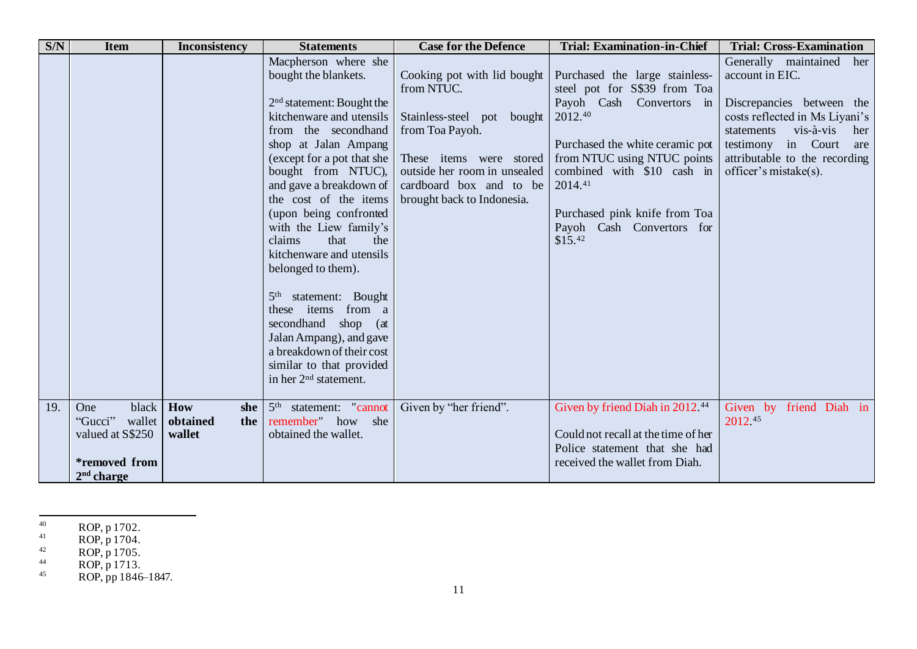| SNN | <b>Item</b>                                                                                   | <b>Inconsistency</b>                    | <b>Statements</b>                                                                                                                                                                                                                                                                                                                                                                                                                                                                                                                                                   | <b>Case for the Defence</b>                                                                                                                                                                                    | <b>Trial: Examination-in-Chief</b>                                                                                                                                                                                                                                                        | <b>Trial: Cross-Examination</b>                                                                                                                                                                                                        |
|-----|-----------------------------------------------------------------------------------------------|-----------------------------------------|---------------------------------------------------------------------------------------------------------------------------------------------------------------------------------------------------------------------------------------------------------------------------------------------------------------------------------------------------------------------------------------------------------------------------------------------------------------------------------------------------------------------------------------------------------------------|----------------------------------------------------------------------------------------------------------------------------------------------------------------------------------------------------------------|-------------------------------------------------------------------------------------------------------------------------------------------------------------------------------------------------------------------------------------------------------------------------------------------|----------------------------------------------------------------------------------------------------------------------------------------------------------------------------------------------------------------------------------------|
|     |                                                                                               |                                         | Macpherson where she<br>bought the blankets.<br>$2nd$ statement: Bought the<br>kitchenware and utensils<br>from the secondhand<br>shop at Jalan Ampang<br>(except for a pot that she<br>bought from NTUC),<br>and gave a breakdown of<br>the cost of the items<br>(upon being confronted<br>with the Liew family's<br>claims<br>that<br>the<br>kitchenware and utensils<br>belonged to them).<br>5 <sup>th</sup> statement: Bought<br>these items from a<br>secondhand shop (at<br>Jalan Ampang), and gave<br>a breakdown of their cost<br>similar to that provided | Cooking pot with lid bought<br>from NTUC.<br>Stainless-steel pot bought<br>from Toa Payoh.<br>These items were stored<br>outside her room in unsealed<br>cardboard box and to be<br>brought back to Indonesia. | Purchased the large stainless-<br>steel pot for S\$39 from Toa<br>Payoh Cash Convertors in<br>2012.40<br>Purchased the white ceramic pot<br>from NTUC using NTUC points<br>combined with \$10 cash in<br>2014.41<br>Purchased pink knife from Toa<br>Payoh Cash Convertors for<br>\$15.42 | Generally maintained<br>her<br>account in EIC.<br>Discrepancies between the<br>costs reflected in Ms Liyani's<br>vis-à-vis<br>statements<br>her<br>testimony in Court<br>are<br>attributable to the recording<br>officer's mistake(s). |
|     |                                                                                               |                                         | in her 2 <sup>nd</sup> statement.                                                                                                                                                                                                                                                                                                                                                                                                                                                                                                                                   |                                                                                                                                                                                                                |                                                                                                                                                                                                                                                                                           |                                                                                                                                                                                                                                        |
| 19. | black<br>One<br>"Gucci"<br>wallet<br>valued at S\$250<br><i>*removed</i> from<br>$2nd$ charge | How<br>she<br>obtained<br>the<br>wallet | statement: "cannot<br>5 <sup>th</sup><br>remember" how she<br>obtained the wallet.                                                                                                                                                                                                                                                                                                                                                                                                                                                                                  | Given by "her friend".                                                                                                                                                                                         | Given by friend Diah in 2012.44<br>Could not recall at the time of her<br>Police statement that she had<br>received the wallet from Diah.                                                                                                                                                 | Given by<br>friend Diah in<br>2012.45                                                                                                                                                                                                  |

 $^{40}$  ROP, p 1702.

 $^{41}$  ROP, p 1704.

 $^{42}$  ROP, p 1705.

 $^{44}$  ROP, p 1713.

<sup>45</sup> ROP, pp  $1846-1847$ .